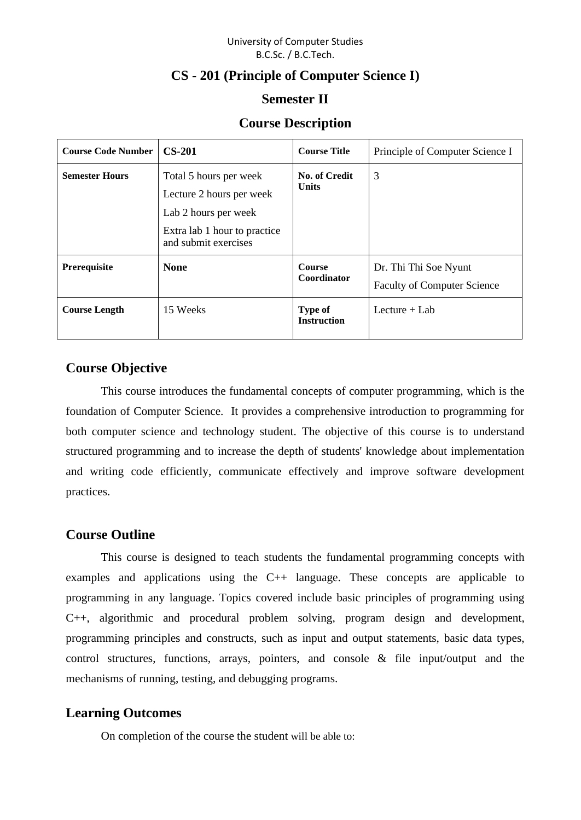### University of Computer Studies B.C.Sc. / B.C.Tech.

# **CS - 201 (Principle of Computer Science I)**

### **Semester II**

## **Course Description**

| <b>Course Code Number</b> | $CS-201$                                                                                                                           | <b>Course Title</b>                  | Principle of Computer Science I                             |
|---------------------------|------------------------------------------------------------------------------------------------------------------------------------|--------------------------------------|-------------------------------------------------------------|
| <b>Semester Hours</b>     | Total 5 hours per week<br>Lecture 2 hours per week<br>Lab 2 hours per week<br>Extra lab 1 hour to practice<br>and submit exercises | No. of Credit<br><b>Units</b>        | 3                                                           |
| Prerequisite              | <b>None</b>                                                                                                                        | <b>Course</b><br>Coordinator         | Dr. Thi Thi Soe Nyunt<br><b>Faculty of Computer Science</b> |
| <b>Course Length</b>      | 15 Weeks                                                                                                                           | <b>Type of</b><br><b>Instruction</b> | Lecture $+$ Lab                                             |

## **Course Objective**

This course introduces the fundamental concepts of computer programming, which is the foundation of Computer Science. It provides a comprehensive introduction to programming for both computer science and technology student. The objective of this course is to understand structured programming and to increase the depth of students' knowledge about implementation and writing code efficiently, communicate effectively and improve software development practices.

### **Course Outline**

This course is designed to teach students the fundamental programming concepts with examples and applications using the C++ language. These concepts are applicable to programming in any language. Topics covered include basic principles of programming using C++, algorithmic and procedural problem solving, program design and development, programming principles and constructs, such as input and output statements, basic data types, control structures, functions, arrays, pointers, and console & file input/output and the mechanisms of running, testing, and debugging programs.

# **Learning Outcomes**

On completion of the course the student will be able to: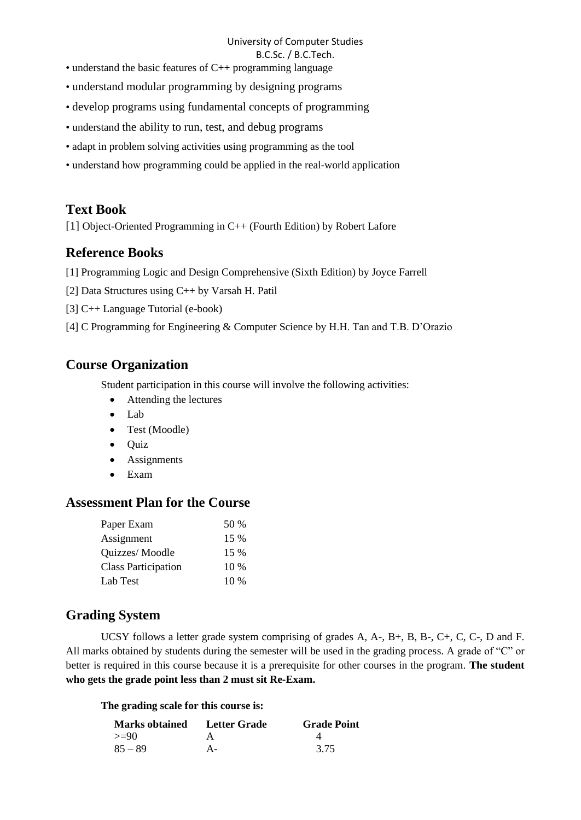### University of Computer Studies

#### B.C.Sc. / B.C.Tech.

- understand the basic features of C++ programming language
- understand modular programming by designing programs
- develop programs using fundamental concepts of programming
- understand the ability to run, test, and debug programs
- adapt in problem solving activities using programming as the tool
- understand how programming could be applied in the real-world application

# **Text Book**

[1] Object-Oriented Programming in C++ (Fourth Edition) by Robert Lafore

## **Reference Books**

- [1] Programming Logic and Design Comprehensive (Sixth Edition) by Joyce Farrell
- [2] Data Structures using C++ by Varsah H. Patil
- [3] C++ Language Tutorial (e-book)
- [4] C Programming for Engineering & Computer Science by H.H. Tan and T.B. D'Orazio

# **Course Organization**

Student participation in this course will involve the following activities:

- Attending the lectures
- Lab
- Test (Moodle)
- Quiz
- Assignments
- Exam

## **Assessment Plan for the Course**

| Paper Exam                 | 50 %   |
|----------------------------|--------|
| Assignment                 | 15 %   |
| Quizzes/Moodle             | 15 %   |
| <b>Class Participation</b> | $10\%$ |
| Lab Test                   | 10 %   |

# **Grading System**

UCSY follows a letter grade system comprising of grades A, A-, B+, B, B-, C+, C, C-, D and F. All marks obtained by students during the semester will be used in the grading process. A grade of "C" or better is required in this course because it is a prerequisite for other courses in the program. **The student who gets the grade point less than 2 must sit Re-Exam.**

### **The grading scale for this course is:**

| <b>Marks obtained</b> | Letter Grade | <b>Grade Point</b> |
|-----------------------|--------------|--------------------|
| $>=90$                |              |                    |
| $85 - 89$             | А-           | 3.75               |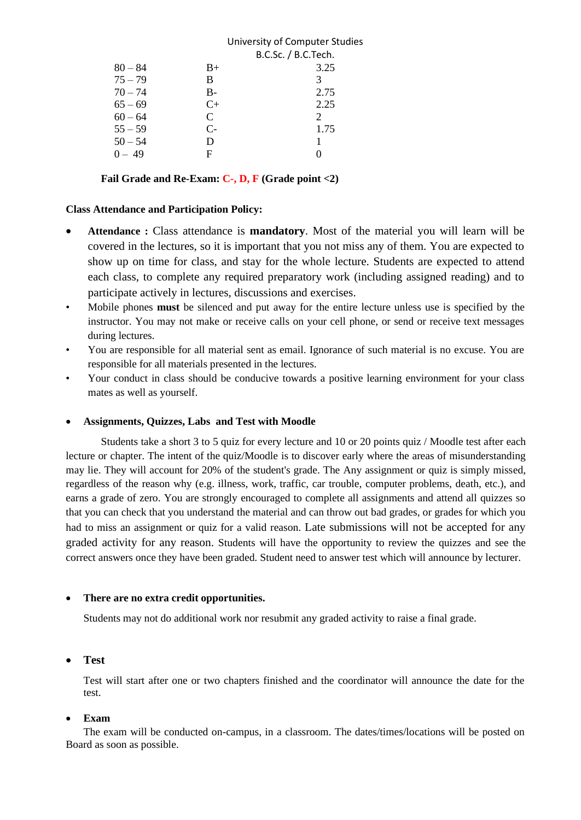|           |      | University of Computer Studies |
|-----------|------|--------------------------------|
|           |      | B.C.Sc. / B.C.Tech.            |
| $80 - 84$ | $B+$ | 3.25                           |
| $75 - 79$ | B    | 3                              |
| $70 - 74$ | B-   | 2.75                           |
| $65 - 69$ | $C+$ | 2.25                           |
| $60 - 64$ | C    | 2                              |
| $55 - 59$ | $C-$ | 1.75                           |
| $50 - 54$ | D    |                                |
| $0 - 49$  | F    |                                |
|           |      |                                |

**Fail Grade and Re-Exam: C-, D, F (Grade point <2)**

#### **Class Attendance and Participation Policy:**

- **Attendance :** Class attendance is **mandatory**. Most of the material you will learn will be covered in the lectures, so it is important that you not miss any of them. You are expected to show up on time for class, and stay for the whole lecture. Students are expected to attend each class, to complete any required preparatory work (including assigned reading) and to participate actively in lectures, discussions and exercises.
- Mobile phones **must** be silenced and put away for the entire lecture unless use is specified by the instructor. You may not make or receive calls on your cell phone, or send or receive text messages during lectures.
- You are responsible for all material sent as email. Ignorance of such material is no excuse. You are responsible for all materials presented in the lectures.
- Your conduct in class should be conducive towards a positive learning environment for your class mates as well as yourself.

#### • **Assignments, Quizzes, Labs and Test with Moodle**

Students take a short 3 to 5 quiz for every lecture and 10 or 20 points quiz / Moodle test after each lecture or chapter. The intent of the quiz/Moodle is to discover early where the areas of misunderstanding may lie. They will account for 20% of the student's grade. The Any assignment or quiz is simply missed, regardless of the reason why (e.g. illness, work, traffic, car trouble, computer problems, death, etc.), and earns a grade of zero. You are strongly encouraged to complete all assignments and attend all quizzes so that you can check that you understand the material and can throw out bad grades, or grades for which you had to miss an assignment or quiz for a valid reason. Late submissions will not be accepted for any graded activity for any reason. Students will have the opportunity to review the quizzes and see the correct answers once they have been graded. Student need to answer test which will announce by lecturer.

#### • **There are no extra credit opportunities.**

Students may not do additional work nor resubmit any graded activity to raise a final grade.

### • **Test**

Test will start after one or two chapters finished and the coordinator will announce the date for the test.

#### • **Exam**

The exam will be conducted on-campus, in a classroom. The dates/times/locations will be posted on Board as soon as possible.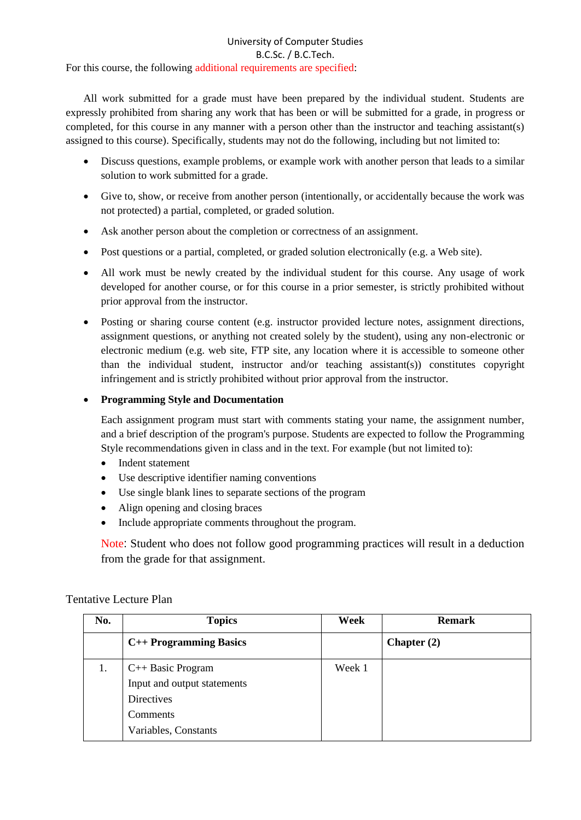#### University of Computer Studies B.C.Sc. / B.C.Tech. For this course, the following additional requirements are specified:

All work submitted for a grade must have been prepared by the individual student. Students are expressly prohibited from sharing any work that has been or will be submitted for a grade, in progress or completed, for this course in any manner with a person other than the instructor and teaching assistant(s) assigned to this course). Specifically, students may not do the following, including but not limited to:

- Discuss questions, example problems, or example work with another person that leads to a similar solution to work submitted for a grade.
- Give to, show, or receive from another person (intentionally, or accidentally because the work was not protected) a partial, completed, or graded solution.
- Ask another person about the completion or correctness of an assignment.
- Post questions or a partial, completed, or graded solution electronically (e.g. a Web site).
- All work must be newly created by the individual student for this course. Any usage of work developed for another course, or for this course in a prior semester, is strictly prohibited without prior approval from the instructor.
- Posting or sharing course content (e.g. instructor provided lecture notes, assignment directions, assignment questions, or anything not created solely by the student), using any non-electronic or electronic medium (e.g. web site, FTP site, any location where it is accessible to someone other than the individual student, instructor and/or teaching assistant(s)) constitutes copyright infringement and is strictly prohibited without prior approval from the instructor.

### • **Programming Style and Documentation**

Each assignment program must start with comments stating your name, the assignment number, and a brief description of the program's purpose. Students are expected to follow the Programming Style recommendations given in class and in the text. For example (but not limited to):

- Indent statement
- Use descriptive identifier naming conventions
- Use single blank lines to separate sections of the program
- Align opening and closing braces
- Include appropriate comments throughout the program.

Note: Student who does not follow good programming practices will result in a deduction from the grade for that assignment.

| No. | <b>Topics</b>               | Week   | <b>Remark</b> |
|-----|-----------------------------|--------|---------------|
|     | C++ Programming Basics      |        | Chapter $(2)$ |
| 1.  | C++ Basic Program           | Week 1 |               |
|     | Input and output statements |        |               |
|     | Directives                  |        |               |
|     | <b>Comments</b>             |        |               |
|     | Variables, Constants        |        |               |

### Tentative Lecture Plan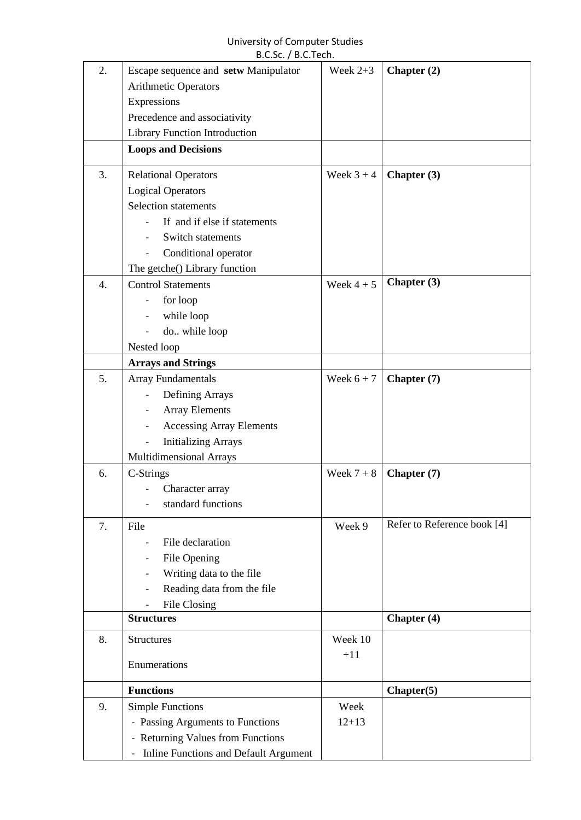#### University of Computer Studies B.C.Sc. / B.C.Tech.

| 2. | Escape sequence and setw Manipulator              | Week $2+3$   | Chapter (2)                 |
|----|---------------------------------------------------|--------------|-----------------------------|
|    | Arithmetic Operators                              |              |                             |
|    | Expressions                                       |              |                             |
|    | Precedence and associativity                      |              |                             |
|    | <b>Library Function Introduction</b>              |              |                             |
|    | <b>Loops and Decisions</b>                        |              |                             |
| 3. | <b>Relational Operators</b>                       | Week $3 + 4$ | Chapter (3)                 |
|    | <b>Logical Operators</b>                          |              |                             |
|    | Selection statements                              |              |                             |
|    | If and if else if statements                      |              |                             |
|    | Switch statements                                 |              |                             |
|    | Conditional operator                              |              |                             |
|    | The getche() Library function                     |              |                             |
| 4. | <b>Control Statements</b>                         | Week $4+5$   | Chapter (3)                 |
|    | for loop                                          |              |                             |
|    | while loop                                        |              |                             |
|    | do while loop                                     |              |                             |
|    | Nested loop                                       |              |                             |
|    | <b>Arrays and Strings</b>                         |              |                             |
| 5. | <b>Array Fundamentals</b>                         | Week $6 + 7$ | Chapter (7)                 |
|    | Defining Arrays                                   |              |                             |
|    | <b>Array Elements</b><br>$\overline{\phantom{0}}$ |              |                             |
|    | <b>Accessing Array Elements</b>                   |              |                             |
|    | <b>Initializing Arrays</b>                        |              |                             |
|    | Multidimensional Arrays                           |              |                             |
| 6. | C-Strings                                         | Week $7+8$   | Chapter (7)                 |
|    | Character array                                   |              |                             |
|    | standard functions                                |              |                             |
| 7. | File                                              | Week 9       | Refer to Reference book [4] |
|    | File declaration                                  |              |                             |
|    | File Opening                                      |              |                             |
|    | Writing data to the file                          |              |                             |
|    | Reading data from the file                        |              |                             |
|    | File Closing                                      |              |                             |
|    | <b>Structures</b>                                 |              | Chapter (4)                 |
| 8. | <b>Structures</b>                                 | Week 10      |                             |
|    |                                                   | $+11$        |                             |
|    | Enumerations                                      |              |                             |
|    | <b>Functions</b>                                  |              | Chapter(5)                  |
| 9. | <b>Simple Functions</b>                           | Week         |                             |
|    | - Passing Arguments to Functions                  | $12 + 13$    |                             |
|    | - Returning Values from Functions                 |              |                             |
|    | - Inline Functions and Default Argument           |              |                             |
|    |                                                   |              |                             |